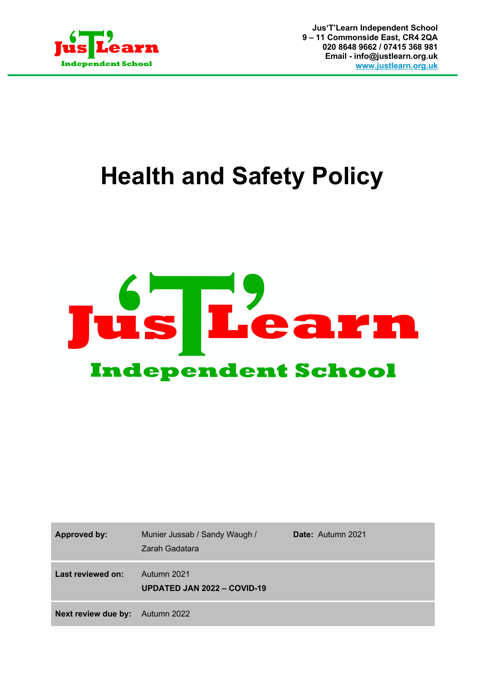

**Jus'T'Learn Independent School 9 – 11 Commonside East, CR4 2QA 020 8648 9662 / 07415 368 981 Email - info@justlearn.org.uk www.justlearn.org.uk**

# **Health and Safety Policy**



| <b>Approved by:</b> | Munier Jussab / Sandy Waugh /<br>Zarah Gadatara | Date: Autumn 2021 |
|---------------------|-------------------------------------------------|-------------------|
| Last reviewed on:   | Autumn 2021<br>UPDATED JAN 2022 - COVID-19      |                   |
| Next review due by: | Autumn 2022                                     |                   |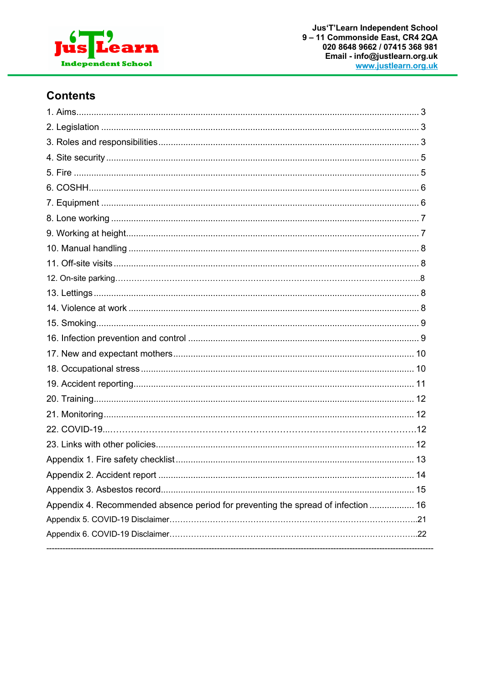

# **Contents**

| Appendix 4. Recommended absence period for preventing the spread of infection  16 |  |
|-----------------------------------------------------------------------------------|--|
|                                                                                   |  |
|                                                                                   |  |
|                                                                                   |  |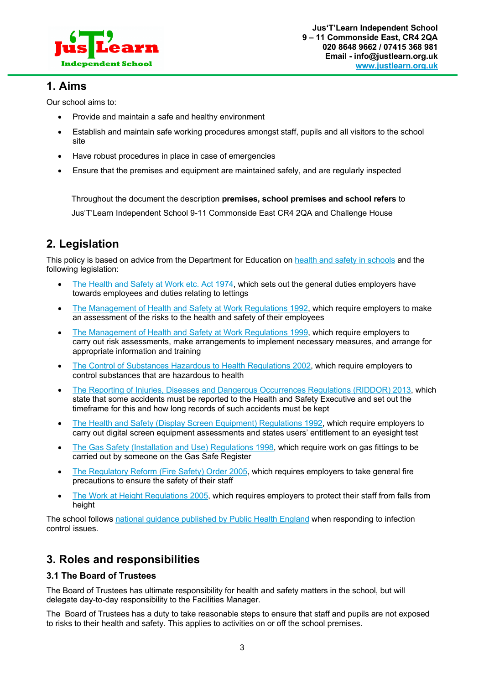

### **1. Aims**

Our school aims to:

- Provide and maintain a safe and healthy environment
- Establish and maintain safe working procedures amongst staff, pupils and all visitors to the school site
- Have robust procedures in place in case of emergencies
- Ensure that the premises and equipment are maintained safely, and are regularly inspected

 Throughout the document the description **premises, school premises and school refers** to Jus'T'Learn Independent School 9-11 Commonside East CR4 2QA and Challenge House

# **2. Legislation**

This policy is based on advice from the Department for Education on health and safety in schools and the following legislation:

- The Health and Safety at Work etc. Act 1974, which sets out the general duties employers have towards employees and duties relating to lettings
- The Management of Health and Safety at Work Regulations 1992, which require employers to make an assessment of the risks to the health and safety of their employees
- The Management of Health and Safety at Work Regulations 1999, which require employers to carry out risk assessments, make arrangements to implement necessary measures, and arrange for appropriate information and training
- The Control of Substances Hazardous to Health Regulations 2002, which require employers to control substances that are hazardous to health
- The Reporting of Injuries, Diseases and Dangerous Occurrences Regulations (RIDDOR) 2013, which state that some accidents must be reported to the Health and Safety Executive and set out the timeframe for this and how long records of such accidents must be kept
- The Health and Safety (Display Screen Equipment) Regulations 1992, which require employers to carry out digital screen equipment assessments and states users' entitlement to an eyesight test
- The Gas Safety (Installation and Use) Regulations 1998, which require work on gas fittings to be carried out by someone on the Gas Safe Register
- The Regulatory Reform (Fire Safety) Order 2005, which requires employers to take general fire precautions to ensure the safety of their staff
- The Work at Height Regulations 2005, which requires employers to protect their staff from falls from height

The school follows national guidance published by Public Health England when responding to infection control issues.

# **3. Roles and responsibilities**

#### **3.1 The Board of Trustees**

The Board of Trustees has ultimate responsibility for health and safety matters in the school, but will delegate day-to-day responsibility to the Facilities Manager.

The Board of Trustees has a duty to take reasonable steps to ensure that staff and pupils are not exposed to risks to their health and safety. This applies to activities on or off the school premises.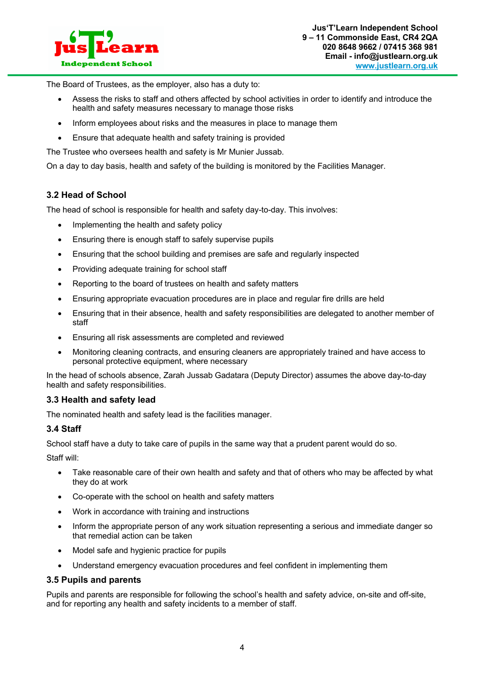

The Board of Trustees, as the employer, also has a duty to:

- Assess the risks to staff and others affected by school activities in order to identify and introduce the health and safety measures necessary to manage those risks
- Inform employees about risks and the measures in place to manage them
- Ensure that adequate health and safety training is provided

The Trustee who oversees health and safety is Mr Munier Jussab.

On a day to day basis, health and safety of the building is monitored by the Facilities Manager.

#### **3.2 Head of School**

The head of school is responsible for health and safety day-to-day. This involves:

- Implementing the health and safety policy
- Ensuring there is enough staff to safely supervise pupils
- Ensuring that the school building and premises are safe and regularly inspected
- Providing adequate training for school staff
- Reporting to the board of trustees on health and safety matters
- Ensuring appropriate evacuation procedures are in place and regular fire drills are held
- Ensuring that in their absence, health and safety responsibilities are delegated to another member of staff
- Ensuring all risk assessments are completed and reviewed
- Monitoring cleaning contracts, and ensuring cleaners are appropriately trained and have access to personal protective equipment, where necessary

In the head of schools absence, Zarah Jussab Gadatara (Deputy Director) assumes the above day-to-day health and safety responsibilities.

#### **3.3 Health and safety lead**

The nominated health and safety lead is the facilities manager.

#### **3.4 Staff**

School staff have a duty to take care of pupils in the same way that a prudent parent would do so.

Staff will:

- Take reasonable care of their own health and safety and that of others who may be affected by what they do at work
- Co-operate with the school on health and safety matters
- Work in accordance with training and instructions
- Inform the appropriate person of any work situation representing a serious and immediate danger so that remedial action can be taken
- Model safe and hygienic practice for pupils
- Understand emergency evacuation procedures and feel confident in implementing them

#### **3.5 Pupils and parents**

Pupils and parents are responsible for following the school's health and safety advice, on-site and off-site, and for reporting any health and safety incidents to a member of staff.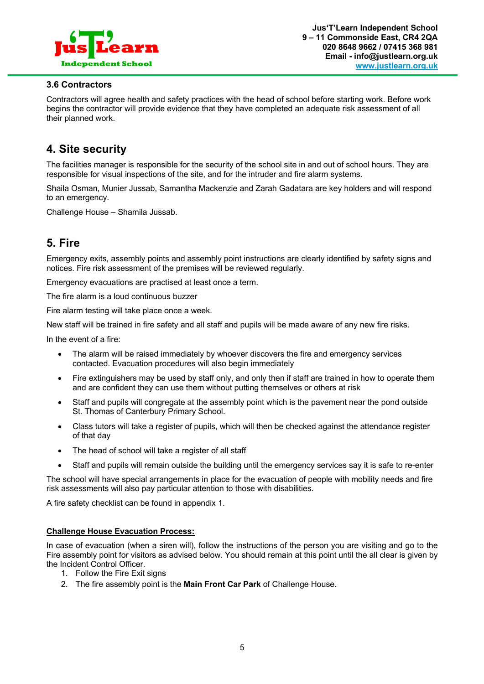

#### **3.6 Contractors**

Contractors will agree health and safety practices with the head of school before starting work. Before work begins the contractor will provide evidence that they have completed an adequate risk assessment of all their planned work.

# **4. Site security**

The facilities manager is responsible for the security of the school site in and out of school hours. They are responsible for visual inspections of the site, and for the intruder and fire alarm systems.

Shaila Osman, Munier Jussab, Samantha Mackenzie and Zarah Gadatara are key holders and will respond to an emergency.

Challenge House – Shamila Jussab.

# **5. Fire**

Emergency exits, assembly points and assembly point instructions are clearly identified by safety signs and notices. Fire risk assessment of the premises will be reviewed regularly.

Emergency evacuations are practised at least once a term.

The fire alarm is a loud continuous buzzer

Fire alarm testing will take place once a week.

New staff will be trained in fire safety and all staff and pupils will be made aware of any new fire risks.

In the event of a fire:

- The alarm will be raised immediately by whoever discovers the fire and emergency services contacted. Evacuation procedures will also begin immediately
- Fire extinguishers may be used by staff only, and only then if staff are trained in how to operate them and are confident they can use them without putting themselves or others at risk
- Staff and pupils will congregate at the assembly point which is the pavement near the pond outside St. Thomas of Canterbury Primary School.
- Class tutors will take a register of pupils, which will then be checked against the attendance register of that day
- The head of school will take a register of all staff
- Staff and pupils will remain outside the building until the emergency services say it is safe to re-enter

The school will have special arrangements in place for the evacuation of people with mobility needs and fire risk assessments will also pay particular attention to those with disabilities.

A fire safety checklist can be found in appendix 1.

#### **Challenge House Evacuation Process:**

In case of evacuation (when a siren will), follow the instructions of the person you are visiting and go to the Fire assembly point for visitors as advised below. You should remain at this point until the all clear is given by the Incident Control Officer.

- 1. Follow the Fire Exit signs
- 2. The fire assembly point is the **Main Front Car Park** of Challenge House.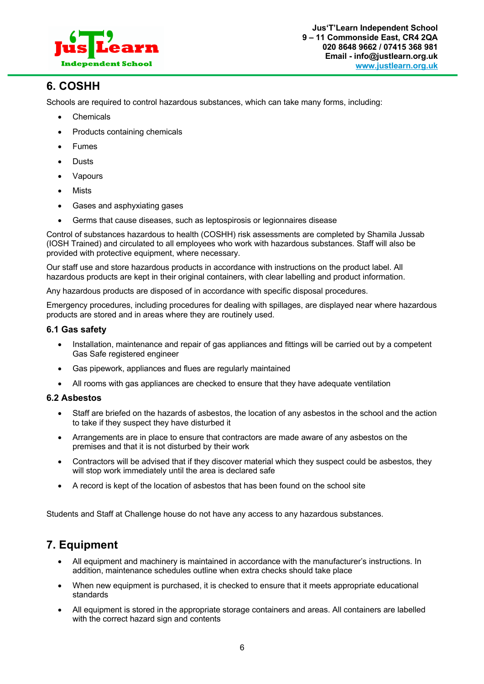

# **6. COSHH**

Schools are required to control hazardous substances, which can take many forms, including:

- Chemicals
- Products containing chemicals
- **Fumes**
- **Dusts**
- Vapours
- Mists
- Gases and asphyxiating gases
- Germs that cause diseases, such as leptospirosis or legionnaires disease

Control of substances hazardous to health (COSHH) risk assessments are completed by Shamila Jussab (IOSH Trained) and circulated to all employees who work with hazardous substances. Staff will also be provided with protective equipment, where necessary.

Our staff use and store hazardous products in accordance with instructions on the product label. All hazardous products are kept in their original containers, with clear labelling and product information.

Any hazardous products are disposed of in accordance with specific disposal procedures.

Emergency procedures, including procedures for dealing with spillages, are displayed near where hazardous products are stored and in areas where they are routinely used.

#### **6.1 Gas safety**

- Installation, maintenance and repair of gas appliances and fittings will be carried out by a competent Gas Safe registered engineer
- Gas pipework, appliances and flues are regularly maintained
- All rooms with gas appliances are checked to ensure that they have adequate ventilation

#### **6.2 Asbestos**

- Staff are briefed on the hazards of asbestos, the location of any asbestos in the school and the action to take if they suspect they have disturbed it
- Arrangements are in place to ensure that contractors are made aware of any asbestos on the premises and that it is not disturbed by their work
- Contractors will be advised that if they discover material which they suspect could be asbestos, they will stop work immediately until the area is declared safe
- A record is kept of the location of asbestos that has been found on the school site

Students and Staff at Challenge house do not have any access to any hazardous substances.

# **7. Equipment**

- All equipment and machinery is maintained in accordance with the manufacturer's instructions. In addition, maintenance schedules outline when extra checks should take place
- When new equipment is purchased, it is checked to ensure that it meets appropriate educational standards
- All equipment is stored in the appropriate storage containers and areas. All containers are labelled with the correct hazard sign and contents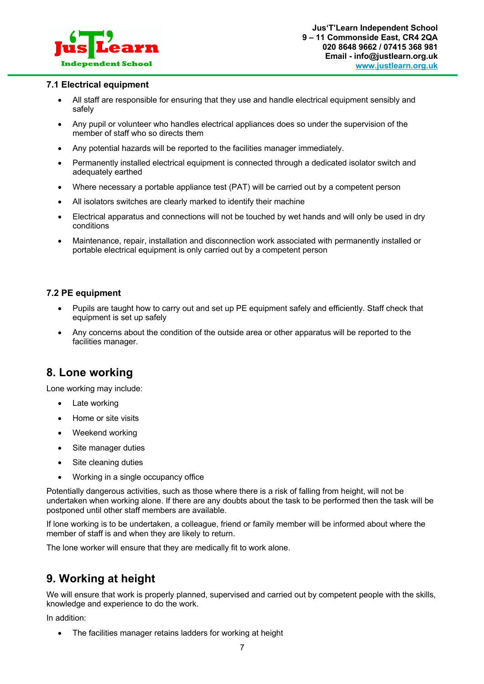

#### **7.1 Electrical equipment**

- All staff are responsible for ensuring that they use and handle electrical equipment sensibly and safely
- Any pupil or volunteer who handles electrical appliances does so under the supervision of the member of staff who so directs them
- Any potential hazards will be reported to the facilities manager immediately.
- Permanently installed electrical equipment is connected through a dedicated isolator switch and adequately earthed
- Where necessary a portable appliance test (PAT) will be carried out by a competent person
- All isolators switches are clearly marked to identify their machine
- Electrical apparatus and connections will not be touched by wet hands and will only be used in dry conditions
- Maintenance, repair, installation and disconnection work associated with permanently installed or portable electrical equipment is only carried out by a competent person

#### **7.2 PE equipment**

- Pupils are taught how to carry out and set up PE equipment safely and efficiently. Staff check that equipment is set up safely
- Any concerns about the condition of the outside area or other apparatus will be reported to the facilities manager.

# **8. Lone working**

Lone working may include:

- Late working
- Home or site visits
- Weekend working
- Site manager duties
- Site cleaning duties
- Working in a single occupancy office

Potentially dangerous activities, such as those where there is a risk of falling from height, will not be undertaken when working alone. If there are any doubts about the task to be performed then the task will be postponed until other staff members are available.

If lone working is to be undertaken, a colleague, friend or family member will be informed about where the member of staff is and when they are likely to return.

The lone worker will ensure that they are medically fit to work alone.

# **9. Working at height**

We will ensure that work is properly planned, supervised and carried out by competent people with the skills, knowledge and experience to do the work.

In addition:

• The facilities manager retains ladders for working at height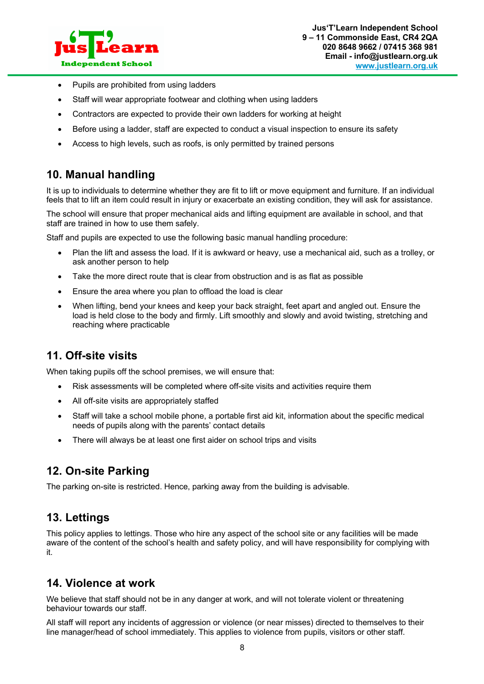

- Pupils are prohibited from using ladders
- Staff will wear appropriate footwear and clothing when using ladders
- Contractors are expected to provide their own ladders for working at height
- Before using a ladder, staff are expected to conduct a visual inspection to ensure its safety
- Access to high levels, such as roofs, is only permitted by trained persons

# **10. Manual handling**

It is up to individuals to determine whether they are fit to lift or move equipment and furniture. If an individual feels that to lift an item could result in injury or exacerbate an existing condition, they will ask for assistance.

The school will ensure that proper mechanical aids and lifting equipment are available in school, and that staff are trained in how to use them safely.

Staff and pupils are expected to use the following basic manual handling procedure:

- Plan the lift and assess the load. If it is awkward or heavy, use a mechanical aid, such as a trolley, or ask another person to help
- Take the more direct route that is clear from obstruction and is as flat as possible
- Ensure the area where you plan to offload the load is clear
- When lifting, bend your knees and keep your back straight, feet apart and angled out. Ensure the load is held close to the body and firmly. Lift smoothly and slowly and avoid twisting, stretching and reaching where practicable

# **11. Off-site visits**

When taking pupils off the school premises, we will ensure that:

- Risk assessments will be completed where off-site visits and activities require them
- All off-site visits are appropriately staffed
- Staff will take a school mobile phone, a portable first aid kit, information about the specific medical needs of pupils along with the parents' contact details
- There will always be at least one first aider on school trips and visits

# **12. On-site Parking**

The parking on-site is restricted. Hence, parking away from the building is advisable.

# **13. Lettings**

This policy applies to lettings. Those who hire any aspect of the school site or any facilities will be made aware of the content of the school's health and safety policy, and will have responsibility for complying with it.

# **14. Violence at work**

We believe that staff should not be in any danger at work, and will not tolerate violent or threatening behaviour towards our staff.

All staff will report any incidents of aggression or violence (or near misses) directed to themselves to their line manager/head of school immediately. This applies to violence from pupils, visitors or other staff.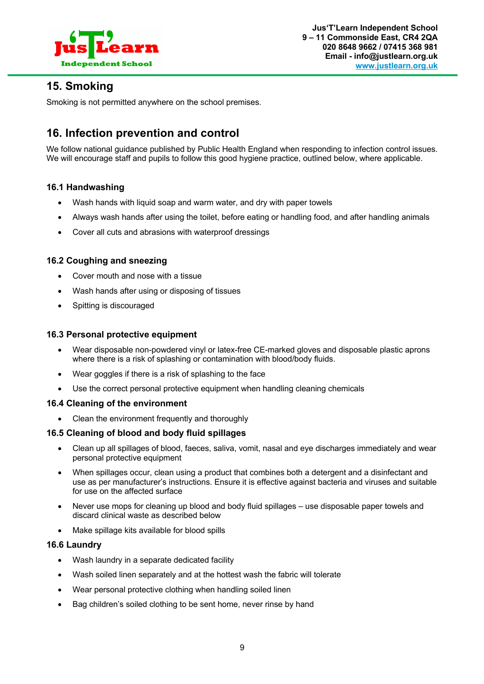

# **15. Smoking**

Smoking is not permitted anywhere on the school premises.

# **16. Infection prevention and control**

We follow national guidance published by Public Health England when responding to infection control issues. We will encourage staff and pupils to follow this good hygiene practice, outlined below, where applicable.

#### **16.1 Handwashing**

- Wash hands with liquid soap and warm water, and dry with paper towels
- Always wash hands after using the toilet, before eating or handling food, and after handling animals
- Cover all cuts and abrasions with waterproof dressings

#### **16.2 Coughing and sneezing**

- Cover mouth and nose with a tissue
- Wash hands after using or disposing of tissues
- Spitting is discouraged

#### **16.3 Personal protective equipment**

- Wear disposable non-powdered vinyl or latex-free CE-marked gloves and disposable plastic aprons where there is a risk of splashing or contamination with blood/body fluids.
- Wear goggles if there is a risk of splashing to the face
- Use the correct personal protective equipment when handling cleaning chemicals

#### **16.4 Cleaning of the environment**

• Clean the environment frequently and thoroughly

#### **16.5 Cleaning of blood and body fluid spillages**

- Clean up all spillages of blood, faeces, saliva, vomit, nasal and eye discharges immediately and wear personal protective equipment
- When spillages occur, clean using a product that combines both a detergent and a disinfectant and use as per manufacturer's instructions. Ensure it is effective against bacteria and viruses and suitable for use on the affected surface
- Never use mops for cleaning up blood and body fluid spillages use disposable paper towels and discard clinical waste as described below
- Make spillage kits available for blood spills

#### **16.6 Laundry**

- Wash laundry in a separate dedicated facility
- Wash soiled linen separately and at the hottest wash the fabric will tolerate
- Wear personal protective clothing when handling soiled linen
- Bag children's soiled clothing to be sent home, never rinse by hand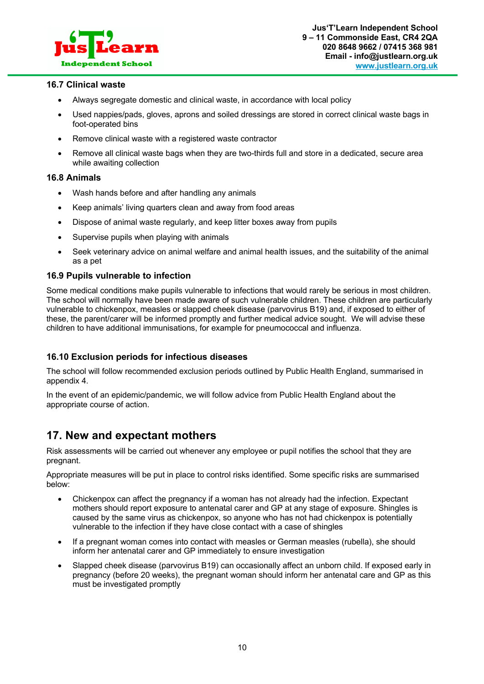

#### **16.7 Clinical waste**

- Always segregate domestic and clinical waste, in accordance with local policy
- Used nappies/pads, gloves, aprons and soiled dressings are stored in correct clinical waste bags in foot-operated bins
- Remove clinical waste with a registered waste contractor
- Remove all clinical waste bags when they are two-thirds full and store in a dedicated, secure area while awaiting collection

#### **16.8 Animals**

- Wash hands before and after handling any animals
- Keep animals' living quarters clean and away from food areas
- Dispose of animal waste regularly, and keep litter boxes away from pupils
- Supervise pupils when playing with animals
- Seek veterinary advice on animal welfare and animal health issues, and the suitability of the animal as a pet

#### **16.9 Pupils vulnerable to infection**

Some medical conditions make pupils vulnerable to infections that would rarely be serious in most children. The school will normally have been made aware of such vulnerable children. These children are particularly vulnerable to chickenpox, measles or slapped cheek disease (parvovirus B19) and, if exposed to either of these, the parent/carer will be informed promptly and further medical advice sought. We will advise these children to have additional immunisations, for example for pneumococcal and influenza.

#### **16.10 Exclusion periods for infectious diseases**

The school will follow recommended exclusion periods outlined by Public Health England, summarised in appendix 4.

In the event of an epidemic/pandemic, we will follow advice from Public Health England about the appropriate course of action.

# **17. New and expectant mothers**

Risk assessments will be carried out whenever any employee or pupil notifies the school that they are pregnant.

Appropriate measures will be put in place to control risks identified. Some specific risks are summarised below:

- Chickenpox can affect the pregnancy if a woman has not already had the infection. Expectant mothers should report exposure to antenatal carer and GP at any stage of exposure. Shingles is caused by the same virus as chickenpox, so anyone who has not had chickenpox is potentially vulnerable to the infection if they have close contact with a case of shingles
- If a pregnant woman comes into contact with measles or German measles (rubella), she should inform her antenatal carer and GP immediately to ensure investigation
- Slapped cheek disease (parvovirus B19) can occasionally affect an unborn child. If exposed early in pregnancy (before 20 weeks), the pregnant woman should inform her antenatal care and GP as this must be investigated promptly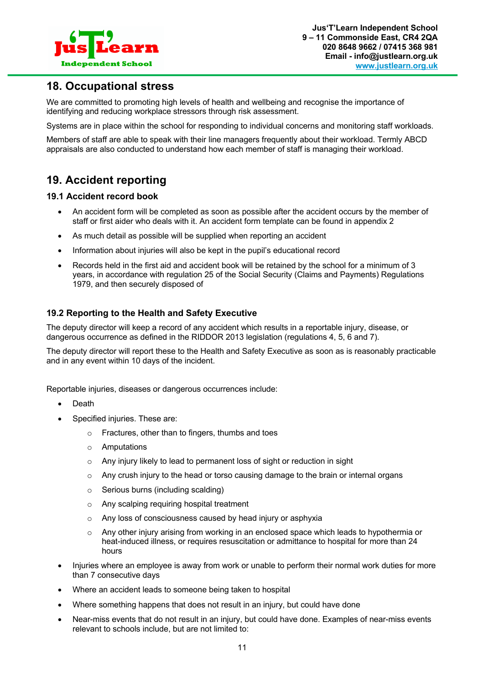

### **18. Occupational stress**

We are committed to promoting high levels of health and wellbeing and recognise the importance of identifying and reducing workplace stressors through risk assessment.

Systems are in place within the school for responding to individual concerns and monitoring staff workloads.

Members of staff are able to speak with their line managers frequently about their workload. Termly ABCD appraisals are also conducted to understand how each member of staff is managing their workload.

# **19. Accident reporting**

#### **19.1 Accident record book**

- An accident form will be completed as soon as possible after the accident occurs by the member of staff or first aider who deals with it. An accident form template can be found in appendix 2
- As much detail as possible will be supplied when reporting an accident
- Information about injuries will also be kept in the pupil's educational record
- Records held in the first aid and accident book will be retained by the school for a minimum of 3 years, in accordance with regulation 25 of the Social Security (Claims and Payments) Regulations 1979, and then securely disposed of

#### **19.2 Reporting to the Health and Safety Executive**

The deputy director will keep a record of any accident which results in a reportable injury, disease, or dangerous occurrence as defined in the RIDDOR 2013 legislation (regulations 4, 5, 6 and 7).

The deputy director will report these to the Health and Safety Executive as soon as is reasonably practicable and in any event within 10 days of the incident.

Reportable injuries, diseases or dangerous occurrences include:

- **Death**
- Specified injuries. These are:
	- o Fractures, other than to fingers, thumbs and toes
	- o Amputations
	- o Any injury likely to lead to permanent loss of sight or reduction in sight
	- $\circ$  Any crush injury to the head or torso causing damage to the brain or internal organs
	- o Serious burns (including scalding)
	- o Any scalping requiring hospital treatment
	- o Any loss of consciousness caused by head injury or asphyxia
	- o Any other injury arising from working in an enclosed space which leads to hypothermia or heat-induced illness, or requires resuscitation or admittance to hospital for more than 24 hours
- Injuries where an employee is away from work or unable to perform their normal work duties for more than 7 consecutive days
- Where an accident leads to someone being taken to hospital
- Where something happens that does not result in an injury, but could have done
- Near-miss events that do not result in an injury, but could have done. Examples of near-miss events relevant to schools include, but are not limited to: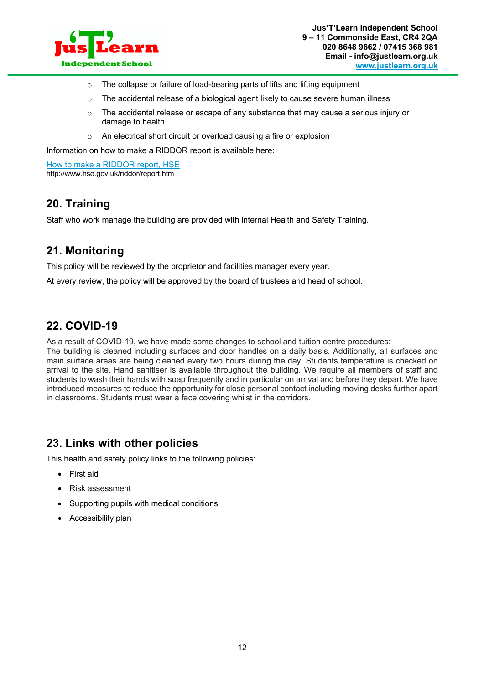

- o The collapse or failure of load-bearing parts of lifts and lifting equipment
- $\circ$  The accidental release of a biological agent likely to cause severe human illness
- $\circ$  The accidental release or escape of any substance that may cause a serious injury or damage to health
- o An electrical short circuit or overload causing a fire or explosion

Information on how to make a RIDDOR report is available here:

How to make a RIDDOR report, HSE http://www.hse.gov.uk/riddor/report.htm

### **20. Training**

Staff who work manage the building are provided with internal Health and Safety Training.

# **21. Monitoring**

This policy will be reviewed by the proprietor and facilities manager every year.

At every review, the policy will be approved by the board of trustees and head of school.

# **22. COVID-19**

As a result of COVID-19, we have made some changes to school and tuition centre procedures: The building is cleaned including surfaces and door handles on a daily basis. Additionally, all surfaces and main surface areas are being cleaned every two hours during the day. Students temperature is checked on arrival to the site. Hand sanitiser is available throughout the building. We require all members of staff and students to wash their hands with soap frequently and in particular on arrival and before they depart. We have

introduced measures to reduce the opportunity for close personal contact including moving desks further apart in classrooms. Students must wear a face covering whilst in the corridors.

### **23. Links with other policies**

This health and safety policy links to the following policies:

- First aid
- Risk assessment
- Supporting pupils with medical conditions
- Accessibility plan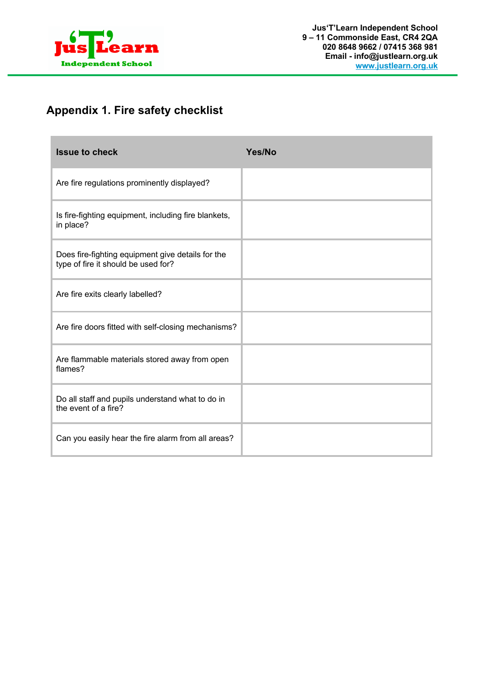

п

# **Appendix 1. Fire safety checklist**

| <b>Issue to check</b>                                                                    | Yes/No |
|------------------------------------------------------------------------------------------|--------|
| Are fire regulations prominently displayed?                                              |        |
| Is fire-fighting equipment, including fire blankets,<br>in place?                        |        |
| Does fire-fighting equipment give details for the<br>type of fire it should be used for? |        |
| Are fire exits clearly labelled?                                                         |        |
| Are fire doors fitted with self-closing mechanisms?                                      |        |
| Are flammable materials stored away from open<br>flames?                                 |        |
| Do all staff and pupils understand what to do in<br>the event of a fire?                 |        |
| Can you easily hear the fire alarm from all areas?                                       |        |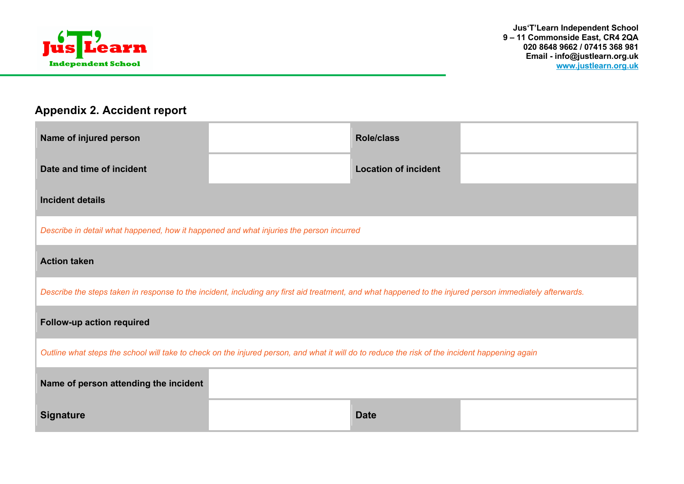

# **Appendix 2. Accident report**

| Name of injured person                                                                                                                                   |  | <b>Role/class</b>           |  |  |  |
|----------------------------------------------------------------------------------------------------------------------------------------------------------|--|-----------------------------|--|--|--|
| Date and time of incident                                                                                                                                |  | <b>Location of incident</b> |  |  |  |
| <b>Incident details</b>                                                                                                                                  |  |                             |  |  |  |
| Describe in detail what happened, how it happened and what injuries the person incurred                                                                  |  |                             |  |  |  |
| <b>Action taken</b>                                                                                                                                      |  |                             |  |  |  |
| Describe the steps taken in response to the incident, including any first aid treatment, and what happened to the injured person immediately afterwards. |  |                             |  |  |  |
| Follow-up action required                                                                                                                                |  |                             |  |  |  |
| Outline what steps the school will take to check on the injured person, and what it will do to reduce the risk of the incident happening again           |  |                             |  |  |  |
| Name of person attending the incident                                                                                                                    |  |                             |  |  |  |
| <b>Signature</b>                                                                                                                                         |  | <b>Date</b>                 |  |  |  |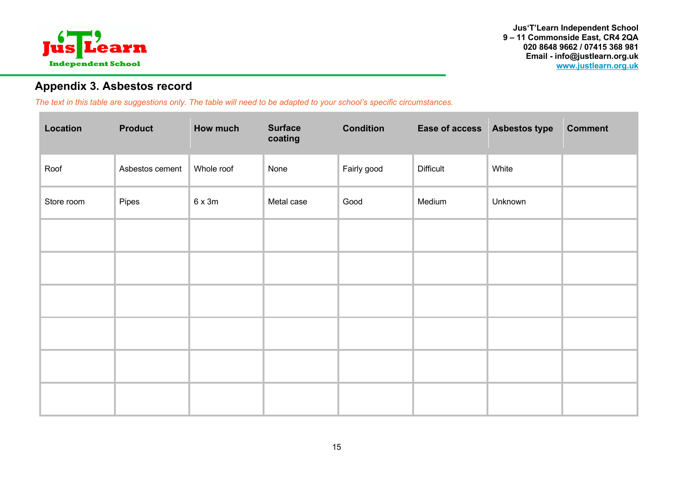

# **Appendix 3. Asbestos record**

*The text in this table are suggestions only. The table will need to be adapted to your school's specific circumstances.* 

| Location   | <b>Product</b>  | How much      | <b>Surface</b><br>coating | <b>Condition</b> | Ease of access Asbestos type |         | <b>Comment</b> |
|------------|-----------------|---------------|---------------------------|------------------|------------------------------|---------|----------------|
| Roof       | Asbestos cement | Whole roof    | None                      | Fairly good      | <b>Difficult</b>             | White   |                |
| Store room | Pipes           | $6 \times 3m$ | Metal case                | Good             | Medium                       | Unknown |                |
|            |                 |               |                           |                  |                              |         |                |
|            |                 |               |                           |                  |                              |         |                |
|            |                 |               |                           |                  |                              |         |                |
|            |                 |               |                           |                  |                              |         |                |
|            |                 |               |                           |                  |                              |         |                |
|            |                 |               |                           |                  |                              |         |                |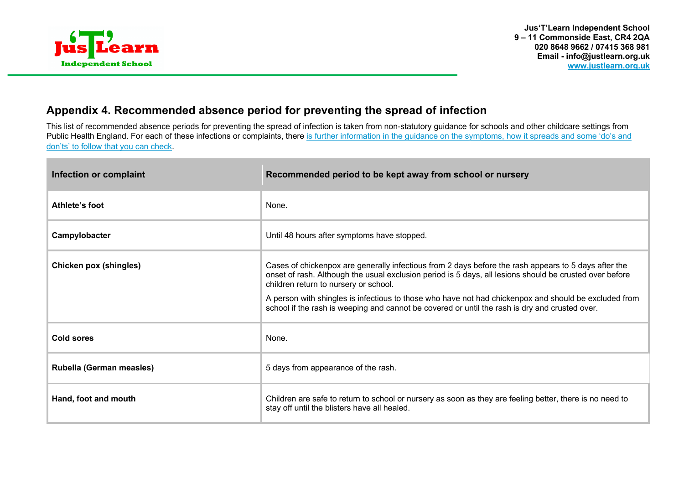

# **Appendix 4. Recommended absence period for preventing the spread of infection**

This list of recommended absence periods for preventing the spread of infection is taken from non-statutory guidance for schools and other childcare settings from Public Health England. For each of these infections or complaints, there is further information in the guidance on the symptoms, how it spreads and some 'do's and don'ts' to follow that you can check.

| Infection or complaint        | Recommended period to be kept away from school or nursery                                                                                                                                                                                                                                                                                                                                                                                                           |  |
|-------------------------------|---------------------------------------------------------------------------------------------------------------------------------------------------------------------------------------------------------------------------------------------------------------------------------------------------------------------------------------------------------------------------------------------------------------------------------------------------------------------|--|
| Athlete's foot                | None.                                                                                                                                                                                                                                                                                                                                                                                                                                                               |  |
| Campylobacter                 | Until 48 hours after symptoms have stopped.                                                                                                                                                                                                                                                                                                                                                                                                                         |  |
| <b>Chicken pox (shingles)</b> | Cases of chickenpox are generally infectious from 2 days before the rash appears to 5 days after the<br>onset of rash. Although the usual exclusion period is 5 days, all lesions should be crusted over before<br>children return to nursery or school.<br>A person with shingles is infectious to those who have not had chickenpox and should be excluded from<br>school if the rash is weeping and cannot be covered or until the rash is dry and crusted over. |  |
| Cold sores                    | None.                                                                                                                                                                                                                                                                                                                                                                                                                                                               |  |
| Rubella (German measles)      | 5 days from appearance of the rash.                                                                                                                                                                                                                                                                                                                                                                                                                                 |  |
| Hand, foot and mouth          | Children are safe to return to school or nursery as soon as they are feeling better, there is no need to<br>stay off until the blisters have all healed.                                                                                                                                                                                                                                                                                                            |  |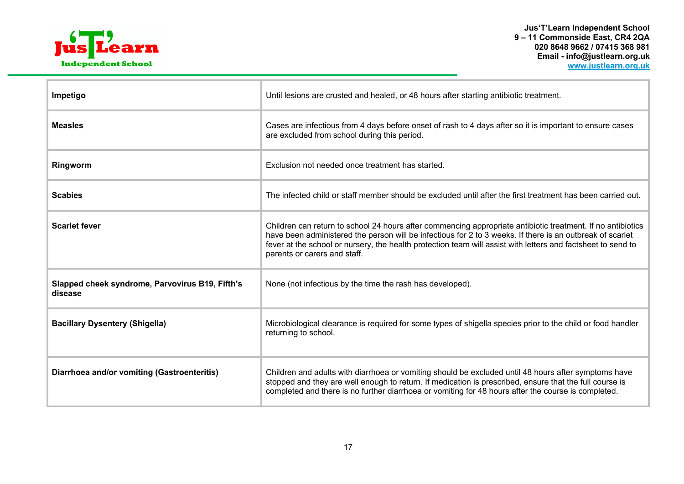

| Impetigo                                                   | Until lesions are crusted and healed, or 48 hours after starting antibiotic treatment.                                                                                                                                                                                                                                                                                   |  |
|------------------------------------------------------------|--------------------------------------------------------------------------------------------------------------------------------------------------------------------------------------------------------------------------------------------------------------------------------------------------------------------------------------------------------------------------|--|
| <b>Measles</b>                                             | Cases are infectious from 4 days before onset of rash to 4 days after so it is important to ensure cases<br>are excluded from school during this period.                                                                                                                                                                                                                 |  |
| Ringworm                                                   | Exclusion not needed once treatment has started.                                                                                                                                                                                                                                                                                                                         |  |
| <b>Scabies</b>                                             | The infected child or staff member should be excluded until after the first treatment has been carried out.                                                                                                                                                                                                                                                              |  |
| <b>Scarlet fever</b>                                       | Children can return to school 24 hours after commencing appropriate antibiotic treatment. If no antibiotics<br>have been administered the person will be infectious for 2 to 3 weeks. If there is an outbreak of scarlet<br>fever at the school or nursery, the health protection team will assist with letters and factsheet to send to<br>parents or carers and staff. |  |
| Slapped cheek syndrome, Parvovirus B19, Fifth's<br>disease | None (not infectious by the time the rash has developed).                                                                                                                                                                                                                                                                                                                |  |
| <b>Bacillary Dysentery (Shigella)</b>                      | Microbiological clearance is required for some types of shigella species prior to the child or food handler<br>returning to school.                                                                                                                                                                                                                                      |  |
| Diarrhoea and/or vomiting (Gastroenteritis)                | Children and adults with diarrhoea or vomiting should be excluded until 48 hours after symptoms have<br>stopped and they are well enough to return. If medication is prescribed, ensure that the full course is<br>completed and there is no further diarrhoea or vomiting for 48 hours after the course is completed.                                                   |  |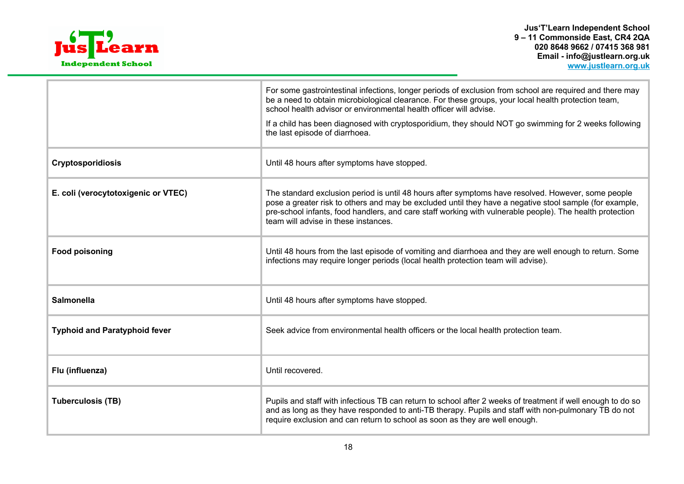

|                                      | For some gastrointestinal infections, longer periods of exclusion from school are required and there may<br>be a need to obtain microbiological clearance. For these groups, your local health protection team,<br>school health advisor or environmental health officer will advise.<br>If a child has been diagnosed with cryptosporidium, they should NOT go swimming for 2 weeks following<br>the last episode of diarrhoea. |
|--------------------------------------|----------------------------------------------------------------------------------------------------------------------------------------------------------------------------------------------------------------------------------------------------------------------------------------------------------------------------------------------------------------------------------------------------------------------------------|
| <b>Cryptosporidiosis</b>             | Until 48 hours after symptoms have stopped.                                                                                                                                                                                                                                                                                                                                                                                      |
| E. coli (verocytotoxigenic or VTEC)  | The standard exclusion period is until 48 hours after symptoms have resolved. However, some people<br>pose a greater risk to others and may be excluded until they have a negative stool sample (for example,<br>pre-school infants, food handlers, and care staff working with vulnerable people). The health protection<br>team will advise in these instances.                                                                |
| <b>Food poisoning</b>                | Until 48 hours from the last episode of vomiting and diarrhoea and they are well enough to return. Some<br>infections may require longer periods (local health protection team will advise).                                                                                                                                                                                                                                     |
| <b>Salmonella</b>                    | Until 48 hours after symptoms have stopped.                                                                                                                                                                                                                                                                                                                                                                                      |
| <b>Typhoid and Paratyphoid fever</b> | Seek advice from environmental health officers or the local health protection team.                                                                                                                                                                                                                                                                                                                                              |
| Flu (influenza)                      | Until recovered.                                                                                                                                                                                                                                                                                                                                                                                                                 |
| <b>Tuberculosis (TB)</b>             | Pupils and staff with infectious TB can return to school after 2 weeks of treatment if well enough to do so<br>and as long as they have responded to anti-TB therapy. Pupils and staff with non-pulmonary TB do not<br>require exclusion and can return to school as soon as they are well enough.                                                                                                                               |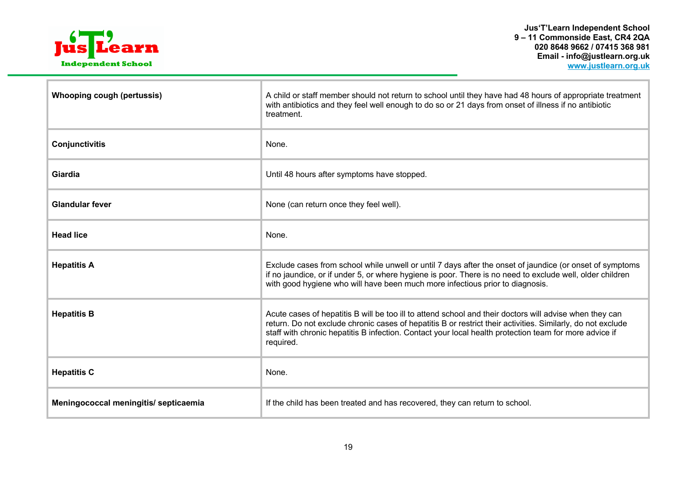

| <b>Whooping cough (pertussis)</b>     | A child or staff member should not return to school until they have had 48 hours of appropriate treatment<br>with antibiotics and they feel well enough to do so or 21 days from onset of illness if no antibiotic<br>treatment.                                                                                                              |  |
|---------------------------------------|-----------------------------------------------------------------------------------------------------------------------------------------------------------------------------------------------------------------------------------------------------------------------------------------------------------------------------------------------|--|
| Conjunctivitis                        | None.                                                                                                                                                                                                                                                                                                                                         |  |
| Giardia                               | Until 48 hours after symptoms have stopped.                                                                                                                                                                                                                                                                                                   |  |
| <b>Glandular fever</b>                | None (can return once they feel well).                                                                                                                                                                                                                                                                                                        |  |
| <b>Head lice</b>                      | None.                                                                                                                                                                                                                                                                                                                                         |  |
| <b>Hepatitis A</b>                    | Exclude cases from school while unwell or until 7 days after the onset of jaundice (or onset of symptoms<br>if no jaundice, or if under 5, or where hygiene is poor. There is no need to exclude well, older children<br>with good hygiene who will have been much more infectious prior to diagnosis.                                        |  |
| <b>Hepatitis B</b>                    | Acute cases of hepatitis B will be too ill to attend school and their doctors will advise when they can<br>return. Do not exclude chronic cases of hepatitis B or restrict their activities. Similarly, do not exclude<br>staff with chronic hepatitis B infection. Contact your local health protection team for more advice if<br>required. |  |
| <b>Hepatitis C</b>                    | None.                                                                                                                                                                                                                                                                                                                                         |  |
| Meningococcal meningitis/ septicaemia | If the child has been treated and has recovered, they can return to school.                                                                                                                                                                                                                                                                   |  |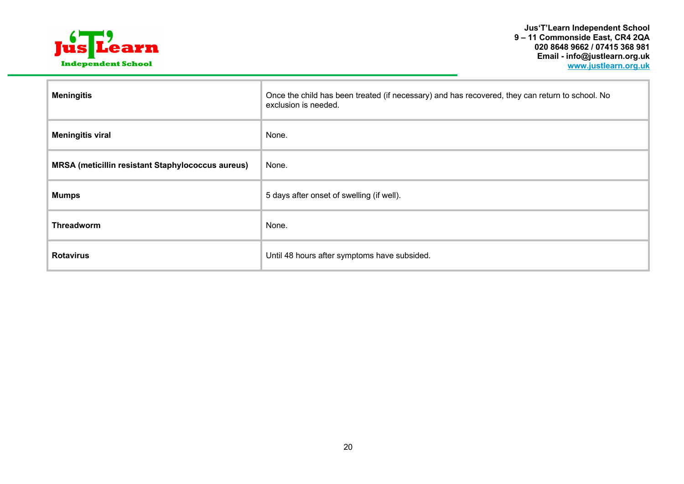

| <b>Meningitis</b>                                        | Once the child has been treated (if necessary) and has recovered, they can return to school. No<br>exclusion is needed. |  |
|----------------------------------------------------------|-------------------------------------------------------------------------------------------------------------------------|--|
| <b>Meningitis viral</b>                                  | None.                                                                                                                   |  |
| <b>MRSA (meticillin resistant Staphylococcus aureus)</b> | None.                                                                                                                   |  |
| <b>Mumps</b>                                             | 5 days after onset of swelling (if well).                                                                               |  |
| <b>Threadworm</b>                                        | None.                                                                                                                   |  |
| <b>Rotavirus</b>                                         | Until 48 hours after symptoms have subsided.                                                                            |  |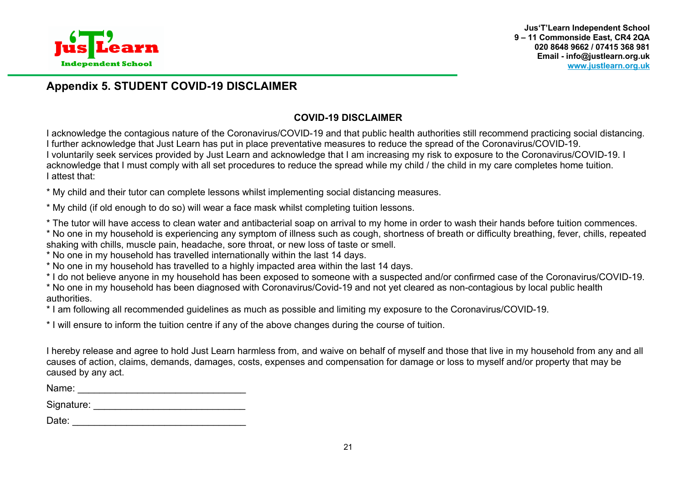

# **Appendix 5. STUDENT COVID-19 DISCLAIMER**

### **COVID-19 DISCLAIMER**

I acknowledge the contagious nature of the Coronavirus/COVID-19 and that public health authorities still recommend practicing social distancing. I further acknowledge that Just Learn has put in place preventative measures to reduce the spread of the Coronavirus/COVID-19. I voluntarily seek services provided by Just Learn and acknowledge that I am increasing my risk to exposure to the Coronavirus/COVID-19. I acknowledge that I must comply with all set procedures to reduce the spread while my child / the child in my care completes home tuition. I attest that:

\* My child and their tutor can complete lessons whilst implementing social distancing measures.

\* My child (if old enough to do so) will wear a face mask whilst completing tuition lessons.

\* The tutor will have access to clean water and antibacterial soap on arrival to my home in order to wash their hands before tuition commences.

\* No one in my household is experiencing any symptom of illness such as cough, shortness of breath or difficulty breathing, fever, chills, repeated shaking with chills, muscle pain, headache, sore throat, or new loss of taste or smell.

\* No one in my household has travelled internationally within the last 14 days.

\* No one in my household has travelled to a highly impacted area within the last 14 days.

\* I do not believe anyone in my household has been exposed to someone with a suspected and/or confirmed case of the Coronavirus/COVID-19.

\* No one in my household has been diagnosed with Coronavirus/Covid-19 and not yet cleared as non-contagious by local public health authorities.

\* I am following all recommended guidelines as much as possible and limiting my exposure to the Coronavirus/COVID-19.

\* I will ensure to inform the tuition centre if any of the above changes during the course of tuition.

I hereby release and agree to hold Just Learn harmless from, and waive on behalf of myself and those that live in my household from any and all causes of action, claims, demands, damages, costs, expenses and compensation for damage or loss to myself and/or property that may be caused by any act.

Name: \_\_\_\_\_\_\_\_\_\_\_\_\_\_\_\_\_\_\_\_\_\_\_\_\_\_\_\_\_\_\_

Signature: **Example 2018** 

| Date: |  |  |  |
|-------|--|--|--|
|       |  |  |  |
|       |  |  |  |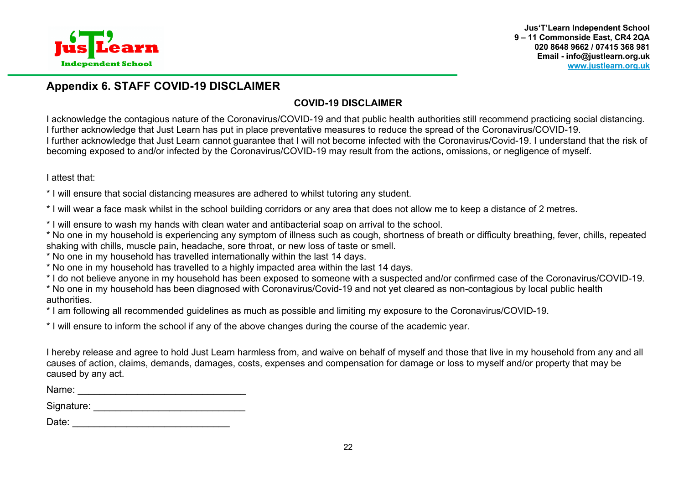

### **Appendix 6. STAFF COVID-19 DISCLAIMER**

# **COVID-19 DISCLAIMER**

I acknowledge the contagious nature of the Coronavirus/COVID-19 and that public health authorities still recommend practicing social distancing. I further acknowledge that Just Learn has put in place preventative measures to reduce the spread of the Coronavirus/COVID-19. I further acknowledge that Just Learn cannot guarantee that I will not become infected with the Coronavirus/Covid-19. I understand that the risk of becoming exposed to and/or infected by the Coronavirus/COVID-19 may result from the actions, omissions, or negligence of myself.

I attest that:

\* I will ensure that social distancing measures are adhered to whilst tutoring any student.

\* I will wear a face mask whilst in the school building corridors or any area that does not allow me to keep a distance of 2 metres.

\* I will ensure to wash my hands with clean water and antibacterial soap on arrival to the school.

\* No one in my household is experiencing any symptom of illness such as cough, shortness of breath or difficulty breathing, fever, chills, repeated shaking with chills, muscle pain, headache, sore throat, or new loss of taste or smell.

\* No one in my household has travelled internationally within the last 14 days.

\* No one in my household has travelled to a highly impacted area within the last 14 days.

\* I do not believe anyone in my household has been exposed to someone with a suspected and/or confirmed case of the Coronavirus/COVID-19.

\* No one in my household has been diagnosed with Coronavirus/Covid-19 and not yet cleared as non-contagious by local public health authorities.

\* I am following all recommended guidelines as much as possible and limiting my exposure to the Coronavirus/COVID-19.

\* I will ensure to inform the school if any of the above changes during the course of the academic year.

I hereby release and agree to hold Just Learn harmless from, and waive on behalf of myself and those that live in my household from any and all causes of action, claims, demands, damages, costs, expenses and compensation for damage or loss to myself and/or property that may be caused by any act.

Name: \_\_\_\_\_\_\_\_\_\_\_\_\_\_\_\_\_\_\_\_\_\_\_\_\_\_\_\_\_\_\_

Signature: \_\_\_\_\_\_\_\_\_\_\_\_\_\_\_\_\_\_\_\_\_\_\_\_\_\_\_\_

Date: \_\_\_\_\_\_\_\_\_\_\_\_\_\_\_\_\_\_\_\_\_\_\_\_\_\_\_\_\_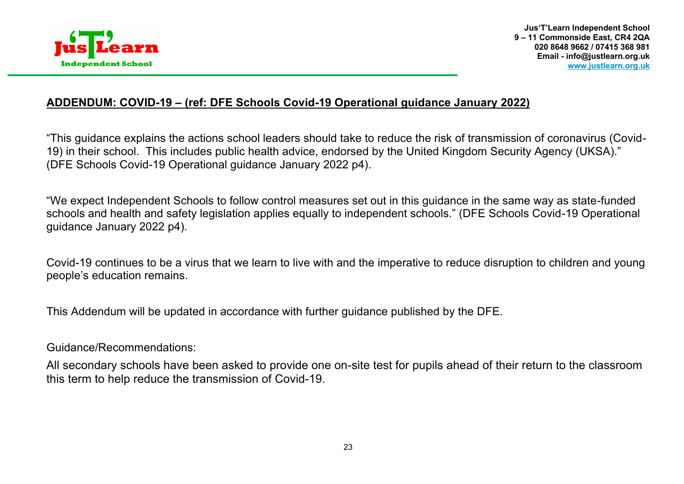

# **ADDENDUM: COVID-19 – (ref: DFE Schools Covid-19 Operational guidance January 2022)**

"This guidance explains the actions school leaders should take to reduce the risk of transmission of coronavirus (Covid-19) in their school. This includes public health advice, endorsed by the United Kingdom Security Agency (UKSA)." (DFE Schools Covid-19 Operational guidance January 2022 p4).

"We expect Independent Schools to follow control measures set out in this guidance in the same way as state-funded schools and health and safety legislation applies equally to independent schools." (DFE Schools Covid-19 Operational guidance January 2022 p4).

Covid-19 continues to be a virus that we learn to live with and the imperative to reduce disruption to children and young people's education remains.

This Addendum will be updated in accordance with further guidance published by the DFE.

Guidance/Recommendations:

All secondary schools have been asked to provide one on-site test for pupils ahead of their return to the classroom this term to help reduce the transmission of Covid-19.